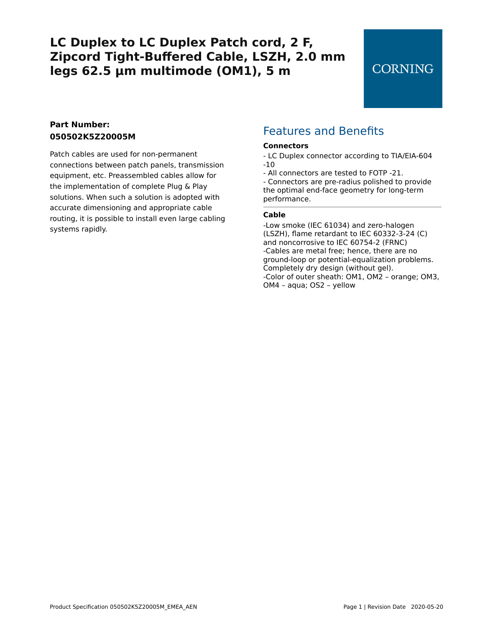## **CORNING**

## **Part Number: 050502K5Z20005M**

Patch cables are used for non-permanent connections between patch panels, transmission equipment, etc. Preassembled cables allow for the implementation of complete Plug & Play solutions. When such a solution is adopted with accurate dimensioning and appropriate cable routing, it is possible to install even large cabling systems rapidly.

## Features and Benefits

#### **Connectors**

- LC Duplex connector according to TIA/EIA-604 -10
- All connectors are tested to FOTP -21.

- Connectors are pre-radius polished to provide the optimal end-face geometry for long-term performance.

#### **Cable**

-Low smoke (IEC 61034) and zero-halogen (LSZH), flame retardant to IEC 60332-3-24 (C) and noncorrosive to IEC 60754-2 (FRNC) -Cables are metal free; hence, there are no ground-loop or potential-equalization problems. Completely dry design (without gel). -Color of outer sheath: OM1, OM2 – orange; OM3, OM4 – aqua; OS2 – yellow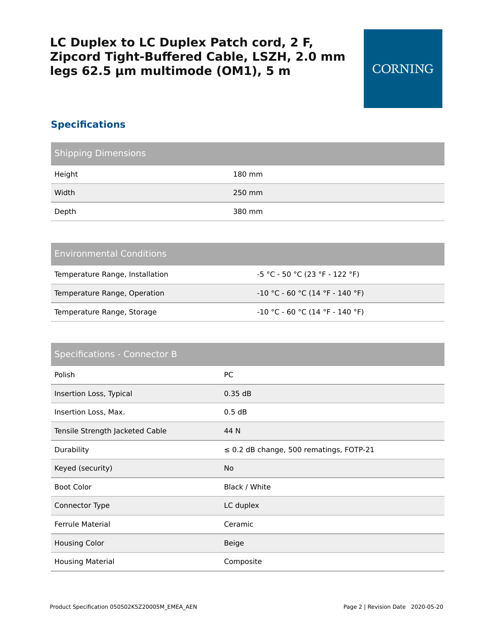## **Specifications**

| <b>Shipping Dimensions</b> |        |
|----------------------------|--------|
| Height                     | 180 mm |
| Width                      | 250 mm |
| Depth                      | 380 mm |

### Environmental Conditions

| Temperature Range, Installation | -5 °C - 50 °C (23 °F - 122 °F)    |
|---------------------------------|-----------------------------------|
| Temperature Range, Operation    | -10 °C - 60 °C (14 °F - 140 °F)   |
| Temperature Range, Storage      | $-10$ °C - 60 °C (14 °F - 140 °F) |

# Specifications - Connector B Polish Polish PC Insertion Loss, Typical 0.35 dB Insertion Loss, Max. 6.5 0.5 dB Tensile Strength Jacketed Cable 44 N Durability ≤ 0.2 dB change, 500 rematings, FOTP-21 Keyed (security) No Boot Color **Black / White** Connector Type LC duplex Ferrule Material **Ceramic** Housing Color and the Color Beige Housing Material **Composite**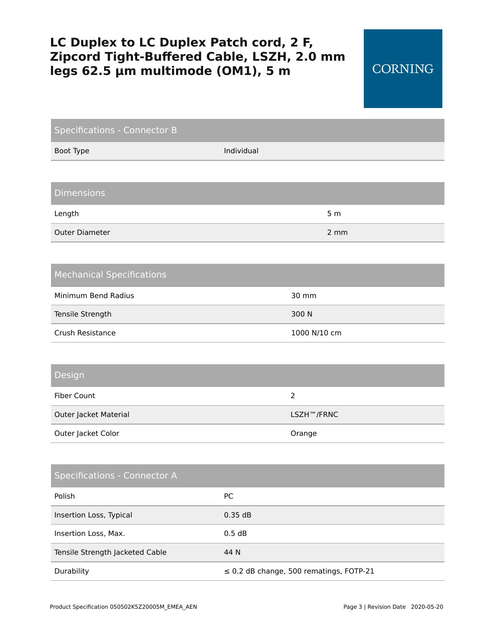| <b>Specifications - Connector B</b> |            |                                              |
|-------------------------------------|------------|----------------------------------------------|
| Boot Type                           | Individual |                                              |
|                                     |            |                                              |
| <b>Dimensions</b>                   |            |                                              |
| Length                              |            | 5 <sub>m</sub>                               |
| <b>Outer Diameter</b>               |            | 2 mm                                         |
|                                     |            |                                              |
| <b>Mechanical Specifications</b>    |            |                                              |
| Minimum Bend Radius                 |            | 30 mm                                        |
| Tensile Strength                    |            | 300 N                                        |
| Crush Resistance                    |            | 1000 N/10 cm                                 |
|                                     |            |                                              |
| Design                              |            |                                              |
| <b>Fiber Count</b>                  |            | $\overline{2}$                               |
| Outer Jacket Material               |            | LSZH™/FRNC                                   |
| Outer Jacket Color                  |            | Orange                                       |
|                                     |            |                                              |
| <b>Specifications - Connector A</b> |            |                                              |
| Polish                              | PC         |                                              |
| Insertion Loss, Typical             | 0.35dB     |                                              |
| Insertion Loss, Max.                | 0.5 dB     |                                              |
| Tensile Strength Jacketed Cable     | 44 N       |                                              |
| Durability                          |            | $\leq$ 0.2 dB change, 500 rematings, FOTP-21 |

**CORNING**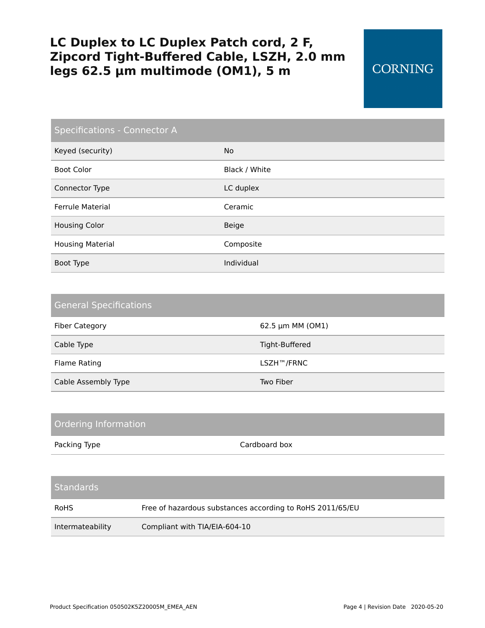## **CORNING**

| <b>Specifications - Connector A</b> |               |  |
|-------------------------------------|---------------|--|
| Keyed (security)                    | No.           |  |
| <b>Boot Color</b>                   | Black / White |  |
| Connector Type                      | LC duplex     |  |
| <b>Ferrule Material</b>             | Ceramic       |  |
| <b>Housing Color</b>                | Beige         |  |
| <b>Housing Material</b>             | Composite     |  |
| Boot Type                           | Individual    |  |

| <b>General Specifications</b> |                  |
|-------------------------------|------------------|
| <b>Fiber Category</b>         | 62.5 µm MM (OM1) |
| Cable Type                    | Tight-Buffered   |
| Flame Rating                  | LSZH™/FRNC       |
| Cable Assembly Type           | Two Fiber        |

| Ordering Information |                                                           |  |
|----------------------|-----------------------------------------------------------|--|
| Packing Type         | Cardboard box                                             |  |
|                      |                                                           |  |
| <b>Standards</b>     |                                                           |  |
| <b>RoHS</b>          | Free of hazardous substances according to RoHS 2011/65/EU |  |
| Intermateability     | Compliant with TIA/EIA-604-10                             |  |